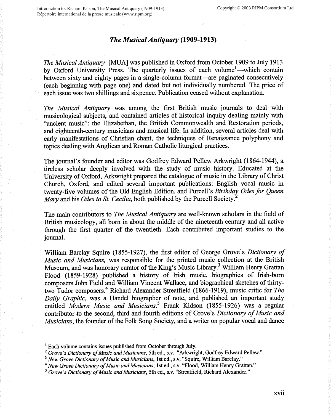## *The Musical Antiquary* **(1909-1913)**

*The Musical Antiquary* [MUA] was published in Oxford from October 1909 to July 1913 by Oxford University Press. The quarterly issues of each volume<sup>1</sup>—which contain between sixty and eighty pages in a single-column format—are paginated consecutively ( each beginning with page one) and dated but not individually numbered. The price of each issue was two shillings and sixpence. Publication ceased without explanation.

*The Musical Antiquary* was among the first British music journals to deal with musicological subjects, and contained articles of historical inquiry dealing mainly with "ancient music": the Elizabethan, the British Commonwealth and Restoration periods, and eighteenth-century musicians and musical life. In addition, several articles deal with early manifestations of Christian chant, the techniques of Renaissance polyphony and topics dealing with Anglican and Roman Catholic liturgical practices.

The journal's founder and editor was Godfrey Edward Pellew Arkwright (1864-1944), a tireless scholar deeply involved with the study of music history. Educated at the University of Oxford, Arkwright prepared the catalogue of music in the Library of Christ Church, Oxford, and edited several important publications: English vocal music in twenty-five volumes of the Old English Edition, and Purcell's *Birthday Odes for Queen Mary* and his *Odes to St. Cecilia*, both published by the Purcell Society.<sup>2</sup>

The main contributors to *The Musical Antiquary* are well-known scholars in the field of British musicology, all born in about the middle of the nineteenth century and all active through the first quarter of the twentieth. Each contributed important studies to the journal.

William Barclay Squire (1855-1927), the first editor of George Grove's *Dictionary of Music and Musicians,* was responsible for the printed music collection at the British Museum, and was honorary curator of the King's Music Library.<sup>3</sup> William Henry Grattan Flood (1859-1928) published a history of Irish music, biographies of Irish-born composers John Field and William Vincent Wallace, and biographical sketches of thirtytwo Tudor composers.<sup>4</sup> Richard Alexander Streatfield (1866-1919), music critic for *The Daily Graphic,* was a Handel biographer of note, and published an important study entitled *Modern Music and Musicians*.<sup>5</sup> Frank Kidson (1855-1926) was a regular contributor to the second, third and fourth editions of Grove's *Dictionary of Music and Musicians,* the founder of the Folk Song Society, and a writer on popular vocal and dance

<sup>&</sup>lt;sup>1</sup> Each volume contains issues published from October through July.

<sup>2</sup>*Grove's Dictionary of Music and Musicians,* 5th ed., s.v. "Arkwright, Godfrey Edward Pellew."

<sup>3</sup>*New Grove Dictionary of Music and Musicians,* 1st ed., s.v. "Squire, William Barclay."

<sup>4</sup>*New Grove Dictionary of Music and Musicians,* 1st ed., s.v. "Flood, William Henry Grattan."

*<sup>5</sup>Grove's Dictionary of Music and Musicians,* 5th ed., s.v. "Streatfield, Richard Alexander."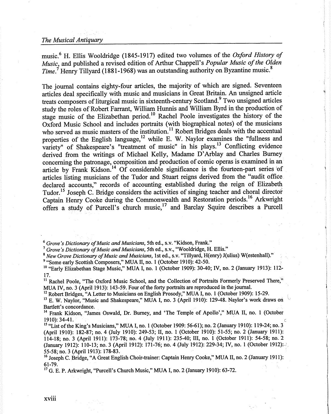## *The Musical Antiquary*

music.<sup>6</sup>H. Ellis Wooldridge (1845-1917) edited two volumes of the *Oxford History of Music,* and published a revised edition of Arthur Chappell's *Popular Music of the Olden Time.*<sup>7</sup> Henry Tillyard (1881-1968) was an outstanding authority on Byzantine music.<sup>8</sup>

The journal contains eighty-four articles, the majority of which are signed. Seventeen articles deal specifically with music and musicians in Great Britain. An unsigned article treats composers of liturgical music in sixteenth-century Scotland.<sup>9</sup> Two unsigned articles study the roles of Robert Farrant, William Hunnis and William Byrd in the production of stage music of the Elizabethan period.<sup>10</sup> Rachel Poole investigates the history of the Oxford Music School and includes portraits (with biographical notes) of the musicians who served as music masters of the institution.<sup>11</sup> Robert Bridges deals with the accentual properties of the English language,<sup>12</sup> while E. W. Naylor examines the "fullness and variety" of Shakespeare's "treatment of music" in his plays.<sup>13</sup> Conflicting evidence derived from the writings of Michael Kelly, Madame D'Arblay and Charles Burney concerning the patronage, composition and production of comic operas is examined in an article by Frank Kidson.<sup>14</sup> Of considerable significance is the fourteen-part series of articles listing musicians of the Tudor and Stuart reigns derived from the "audit office declared accounts," records of accounting established during the reign of Elizabeth Tudor.<sup>15</sup> Joseph C. Bridge considers the activities of singing teacher and choral director Captain Henry Cooke during the Commonwealth and Restoration periods.<sup>16</sup> Arkwright offers a study of Purcell's church music, <sup>17</sup>and Barclay Squire describes a Purcell

<sup>6</sup>*Grove's Dictionary of Music and Musicians,* 5th ed., s.v. "Kidson, Frank."

<sup>7</sup>*Grove's Dictionary of Music and Musicians,* 5th ed., s.v., "Wooldridge, H. Ellis."

<sup>8</sup>*New Grove Dictionary of Music and Musicians,* 1st ed., s.v. "Tillyard, H(enry) J(ulius) W(estenhall)." <sup>9</sup> "Some early Scottish Composers," MUA II, no. 1 (October 1910): 42-50.

<sup>10</sup> "Early Elizabethan Stage Music," MUA I, no. 1 (October 1909): 30-40; IV, no. 2 (January 1913): 112-17.

<sup>11</sup> Rachel Poole, "The Oxford Music School, and the Collection of Portraits Formerly Preserved There," MUA IV, no. 3 (April 1913): 143-59. Four of the forty portraits are reproduced in the journal.

<sup>12</sup> Robert Bridges, "A Letter to Musicians on English Prosody," MUA I, no. 1 (October 1909): 15-29.

<sup>13</sup> E. W. Naylor, "Music and Shakespeare," MUA I, no. 3 (April 1910): 129-48. Naylor's work draws on Bartlett's concordance.

<sup>14</sup> Frank Kidson, "James Oswald, Dr. Burney, and 'The Temple of Apollo'," MUA II, no. 1 (October 1910): 34-41. Consequently and the consequently and the consequently and the consequently and consequently and

<sup>15</sup> "List of the King's Musicians," MUA I, no. 1 (October 1909: 56-61); no. 2 (January 1910): 119-24; no. 3 (April 1910): 182-87; no. 4 (July 1910): 249-53; II, no. 1 (October 1910): 51-55; no. 2 (January 1911): 114-18; no. 3 (April 1911): 173-78; no. 4 (July 1911): 235-40; III, no. 1 (October 1911): 54-58; no. <sup>2</sup> (January 1912): 110-13; no. 3 (April 1912): 171-76; no. 4 (July 1912): 229-34; IV, no. 1 (October 1912): 55-58; no. 3 (April 1913): 178-83.

<sup>16</sup> Joseph C. Bridge, "A Great English Choir-trainer: Captain Henry Cooke," MUA II, no. 2 (January 1911): 61-79.

<sup>17</sup> G. E. P. Arkwright, "Purcell's Church Music," MUA I, no. 2 (January 1910): 63-72.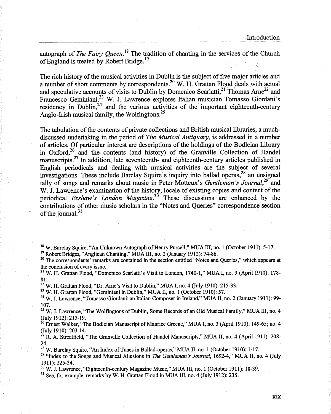autograph of *The Fairy Queen*.<sup>18</sup> The tradition of chanting in the services of the Church of England is treated by Robert Bridge.<sup>19</sup>

The rich history of the musical activities in Dublin is the subject of five major articles and a number of short comments by correspondents.<sup>20</sup> W. H. Grattan Flood deals with actual and speculative accounts of visits to Dublin by Domenico Scarlatti,<sup>21</sup> Thomas Arne<sup>22</sup> and Francesco Geminiani.<sup>23</sup> W. J. Lawrence explores Italian musician Tomasso Giordani's residency in Dublin, $^{24}$  and the various activities of the important eighteenth-century Anglo-Irish musical family, the Wolfingtons.<sup>25</sup>

The tabulation of the contents of private collections and British musical libraries, a muchdiscussed undertaking in the period of *The Musical Antiquary,* is addressed in a number of articles. Of particular interest are descriptions of the holdings of the Bodleian Library in Oxford,<sup>26</sup> and the contents (and history) of the Granville Collection of Handel manuscripts. $27$  In addition, late seventeenth- and eighteenth-century articles published in English periodicals and dealing with musical activities are the subject of several investigations. These include Barclay Squire's inquiry into ballad operas,<sup>28</sup> an unsigned tally of songs and remarks about music in Peter Motteux's *Gentleman's Journal*<sup>29</sup> and W. J. Lawrence's examination of the history, locale of existing copies and content of the periodical *Exshaw's London Magazine*.<sup>30</sup> These discussions are enhanced by the contributions of other music scholars in the "Notes and Queries" correspondence section of the journal.<sup>31</sup>

<sup>18</sup> W. Barclay Squire, "An Unknown Autograph of Henry Purcell," MUA III, no. 1 (October 1911): 5-17.

<sup>19</sup> Robert Bridges, "Anglican Chanting," MUA III, no. 2 (January 1912): 74-86.

<sup>20</sup> The correspondents' remarks are contained in the section entitled "Notes and Queries," which appears at the conclusion of every issue.

<sup>21</sup> W. H. Grattan Flood, "Domenico Scarlatti's Visit to London, 1740-1," MUA I, no. 3 (April 1910): 178-81.

 $22$  W. H. Grattan Flood, "Dr. Arne's Visit to Dublin," MUA I, no. 4 (July 1910): 215-33.

<sup>23</sup> W. H. Grattan Flood, "Geminiani in Dublin," MUA II, no. 1 (October 1910): 57.

<sup>24</sup>W. J. Lawrence, "Tomasso Giordani: an Italian Composer in Ireland," MUA II, no. 2 (January 1911): 99- 107.

<sup>25</sup> W. J. Lawrence, "The Wolfingtons of Dublin, Some Records of an Old Musical Family," MUA III, no. 4 (July 1912): 215-19.

<sup>26</sup> Ernest Walker, "The Bodleian Manuscript of Maurice Greene," MUA I, no. 3 (April 1910): 149-65; no. 4 (July 1910): 203-14.

 $^{27}$  R. A. Streatfield, "The Granville Collection of Handel Manuscripts," MUA II, no. 4 (April 1911): 208-24.

<sup>28</sup> W. Barclay Squire, "An Index of Tunes in Ballad-operas," MUA II, no. 1 (October 1910): 1-17.

<sup>29</sup>"Index to the Songs and Musical Allusions in *The Gentleman's Journal,* 1692-4," MUA II, no. 4 (July 1911): 225-34.

<sup>30</sup>W. J. Lawrence, "Eighteenth-century Magazine Music," MUA III, no. 1 (October 1911): 18-39.

 $31$  See, for example, remarks by W. H. Grattan Flood in MUA III, no. 4 (July 1912): 235.

**XIX**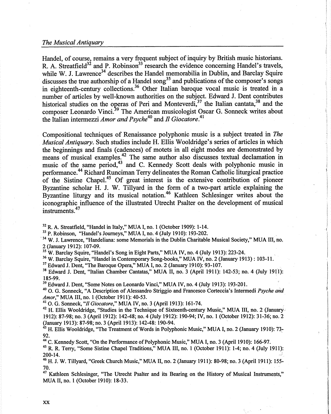## *The Musical Antiquary*

Handel, of course, remains a very frequent subject of inquiry by British music historians. R. A. Streatfield<sup>32</sup> and P. Robinson<sup>33</sup> research the evidence concerning Handel's travels, while W. J. Lawrence<sup>34</sup> describes the Handel memorabilia in Dublin, and Barclay Squire discusses the true authorship of a Handel song<sup>35</sup> and publications of the composer's songs in eighteenth-century collections.<sup>36</sup> Other Italian baroque vocal music is treated in a number of articles by well-known authorities on the subject. Edward J. Dent contributes historical studies on the operas of Peri and Monteverdi,  $37$  the Italian cantata,  $38$  and the composer Leonardo Vinci.<sup>39</sup> The American musicologist Oscar G. Sonneck writes about the Italian intermezzi *Amor and Psyche<sup>40</sup>*and *fl Giocatore.<sup>41</sup>*

Compositional techniques of Renaissance polyphonic music is a subject treated in *The Musical Antiquary.* Such studies include H. Ellis Wooldridge's series of articles in which the beginnings and finals (cadences) of motets in all eight modes are demonstrated by means of musical examples.<sup>42</sup> The same author also discusses textual declamation in music of the same period,  $43$  and C. Kennedy Scott deals with polyphonic music in performance.<sup>44</sup> Richard Runciman Terry delineates the Roman Catholic liturgical practice of the Sistine Chapel.<sup>45</sup> Of great interest is the extensive contribution of pioneer Byzantine scholar H. J. W. Tillyard in the form of a two-part article explaining the Byzantine liturgy and its musical notation.<sup>46</sup> Kathleen Schlesinger writes about the iconographic influence of the illustrated Utrecht Psalter on the development of musical instruments. <sup>47</sup>

<sup>32</sup>R. A. Streatfield, "Handel in Italy," MUA I, no. I (October 1909): 1-14.

<sup>33</sup> P. Robinson, "Handel's Journeys," MUA I, no. 4 (July 1910): 193-202.

<sup>34</sup> W. J. Lawrence, "Handeliana: some Memorials in the Dublin Charitable Musical Society," MUA III, no. 2 (January 1912): 107-09.

<sup>35</sup> W. Barclay Squire, "Handel's Song in Eight Parts," MUA IV, no. 4 (July 1913): 223-24.

<sup>36</sup>W. Barclay Squire, "Handel in Contemporary Song-books," MUA IV, no. 2 (January 1913) : 103-11.

<sup>37</sup> Edward J. Dent, "The Baroque Opera," MUA I, no. 2 (January 1910): 93-107.

<sup>38</sup> Edward J. Dent, "Italian Chamber Cantatas," MUA II, no. 3 (April 1911): 142-53; no. 4 (July 1911): 185-99.

<sup>39</sup>Edward J. Dent, "Some Notes on Leonardo Vinci," MUA IV, no. 4 (July 1913): 193-201.

<sup>40</sup> O. G. Sonneck, "A Description of Alessandro Striggio and Francesco Corteccia's Intermedi *Psyche and Amor,"* MUA III, no. 1 (October 1911): 40-53.

<sup>41</sup>0. G. Sonneck, "// *Giocatore,"* MUA IV, no. 3 (April 1913): 161-74.

<sup>42</sup> H. Ellis Wooldridge, "Studies in the Technique of Sixteenth-century Music," MUA III, no. 2 (January 1912): 87-98; no. 3 (April 1912): 142-48; no. 4 (July 1912): 190-94; IV, no. 1 (October 1912): 31-36; no. 2 (January 1913): 87-98; no. 3 (April 1913): 142-48: 190-94.

<sup>43</sup> H. Ellis Wooldridge, "The Treatment of Words in Polyphonic Music," MUA I, no. 2 (January 1910): 73-92.

<sup>44</sup>C. Kennedy Scott, "On the Performance of Polyphonic Music," MUA I, no. 3 (April 1910): 166-97.

<sup>45</sup>R.R. Terry, "Some Sistine Chapel Traditions," MUA III, no. 1 (October 1911): 1-4; no. 4 (July 1911): 200-14.

<sup>46</sup>H.J. W. Tillyard, "Greek Church Music," MUA II, no. 2 (January 1911): 80-98; no. 3 (April 1911): 155- 70.

<sup>47</sup> Kathleen Schlesinger, "The Utrecht Psalter and its Bearing on the History of Musical Instruments," MUA II, no. 1 (October 1910): 18-33.